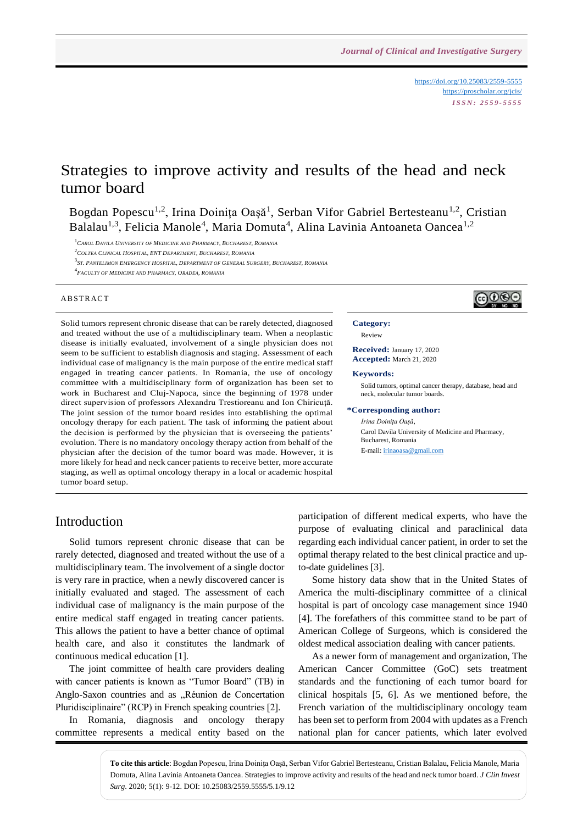<https://doi.org/10.25083/2559-5555> <https://proscholar.org/jcis/> *I S S N : 2 5 5 9 - 5 5 5 5*

# Strategies to improve activity and results of the head and neck tumor board

Bogdan Popescu<sup>1,2</sup>, Irina Doinița Oașă<sup>1</sup>, Serban Vifor Gabriel Bertesteanu<sup>1,2</sup>, Cristian Balalau<sup>1,3</sup>, Felicia Manole<sup>4</sup>, Maria Domuta<sup>4</sup>, Alina Lavinia Antoaneta Oancea<sup>1,2</sup>

<sup>1</sup>*CAROL DAVILA UNIVERSITY OF MEDICINE AND PHARMACY, BUCHAREST, ROMANIA*

<sup>2</sup>*COLTEA CLINICAL HOSPITAL, ENT DEPARTMENT, BUCHAREST, ROMANIA*

3<br>3St. Pantelimon Emergency Hospital, Department of General Surgery, Bucharest, Romania

#### $A$  B ST R  $A$  C T

Solid tumors represent chronic disease that can be rarely detected, diagnosed and treated without the use of a multidisciplinary team. When a neoplastic disease is initially evaluated, involvement of a single physician does not seem to be sufficient to establish diagnosis and staging. Assessment of each individual case of malignancy is the main purpose of the entire medical staff engaged in treating cancer patients. In Romania, the use of oncology committee with a multidisciplinary form of organization has been set to work in Bucharest and Cluj-Napoca, since the beginning of 1978 under direct supervision of professors Alexandru Trestioreanu and Ion Chiricuță. The joint session of the tumor board resides into establishing the optimal oncology therapy for each patient. The task of informing the patient about the decision is performed by the physician that is overseeing the patients' evolution. There is no mandatory oncology therapy action from behalf of the physician after the decision of the tumor board was made. However, it is more likely for head and neck cancer patients to receive better, more accurate staging, as well as optimal oncology therapy in a local or academic hospital tumor board setup.

# ෬ා⊛

#### **Category:**  Review

**Received:** January 17, 2020

**Accepted:** March 21, 2020

### **Keywords:**

Solid tumors, optimal cancer therapy, database, head and neck, molecular tumor boards.

#### **\*Corresponding author:**

*Irina Doinița Oașă*, Carol Davila University of Medicine and Pharmacy, Bucharest, Romania E-mail[: irinaoasa@gmail.com](mailto:irinaoasa@gmail.com)

# Introduction

Solid tumors represent chronic disease that can be rarely detected, diagnosed and treated without the use of a multidisciplinary team. The involvement of a single doctor is very rare in practice, when a newly discovered cancer is initially evaluated and staged. The assessment of each individual case of malignancy is the main purpose of the entire medical staff engaged in treating cancer patients. This allows the patient to have a better chance of optimal health care, and also it constitutes the landmark of continuous medical education [1].

The joint committee of health care providers dealing with cancer patients is known as "Tumor Board" (TB) in Anglo-Saxon countries and as "Réunion de Concertation Pluridisciplinaire" (RCP) in French speaking countries [2].

In Romania, diagnosis and oncology therapy committee represents a medical entity based on the participation of different medical experts, who have the purpose of evaluating clinical and paraclinical data regarding each individual cancer patient, in order to set the optimal therapy related to the best clinical practice and upto-date guidelines [3].

Some history data show that in the United States of America the multi-disciplinary committee of a clinical hospital is part of oncology case management since 1940 [4]. The forefathers of this committee stand to be part of American College of Surgeons, which is considered the oldest medical association dealing with cancer patients.

As a newer form of management and organization, The American Cancer Committee (GoC) sets treatment standards and the functioning of each tumor board for clinical hospitals [5, 6]. As we mentioned before, the French variation of the multidisciplinary oncology team has been set to perform from 2004 with updates as a French national plan for cancer patients, which later evolved

**To cite this article**: Bogdan Popescu, Irina Doinița Oașă, Serban Vifor Gabriel Bertesteanu, Cristian Balalau, Felicia Manole, Maria Domuta, Alina Lavinia Antoaneta Oancea. Strategies to improve activity and results of the head and neck tumor board. *J Clin Invest Surg*. 2020; 5(1): 9-12. DOI: 10.25083/2559.5555/5.1/9.12

<sup>4</sup> *FACULTY OF MEDICINE AND PHARMACY, ORADEA, ROMANIA*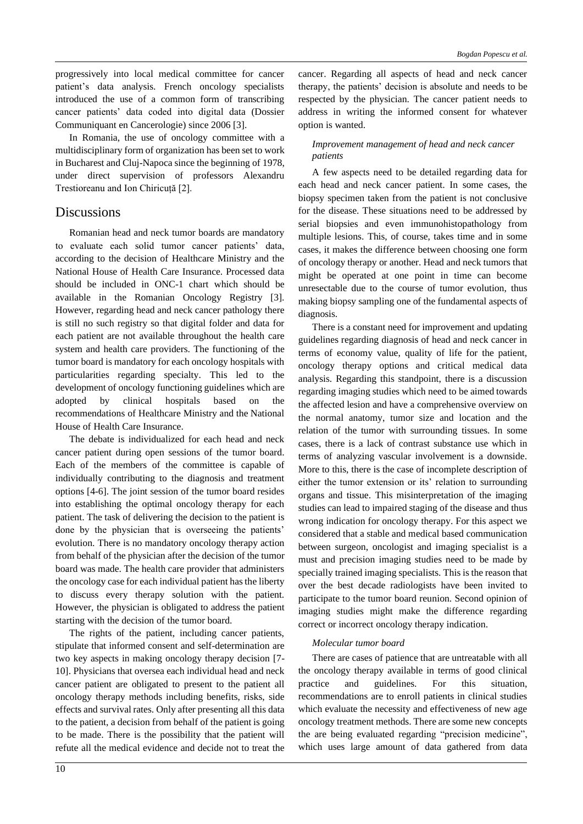progressively into local medical committee for cancer patient's data analysis. French oncology specialists introduced the use of a common form of transcribing cancer patients' data coded into digital data (Dossier Communiquant en Cancerologie) since 2006 [3].

In Romania, the use of oncology committee with a multidisciplinary form of organization has been set to work in Bucharest and Cluj-Napoca since the beginning of 1978, under direct supervision of professors Alexandru Trestioreanu and Ion Chiricuță [2].

# **Discussions**

Romanian head and neck tumor boards are mandatory to evaluate each solid tumor cancer patients' data, according to the decision of Healthcare Ministry and the National House of Health Care Insurance. Processed data should be included in ONC-1 chart which should be available in the Romanian Oncology Registry [3]. However, regarding head and neck cancer pathology there is still no such registry so that digital folder and data for each patient are not available throughout the health care system and health care providers. The functioning of the tumor board is mandatory for each oncology hospitals with particularities regarding specialty. This led to the development of oncology functioning guidelines which are adopted by clinical hospitals based on the recommendations of Healthcare Ministry and the National House of Health Care Insurance.

The debate is individualized for each head and neck cancer patient during open sessions of the tumor board. Each of the members of the committee is capable of individually contributing to the diagnosis and treatment options [4-6]. The joint session of the tumor board resides into establishing the optimal oncology therapy for each patient. The task of delivering the decision to the patient is done by the physician that is overseeing the patients' evolution. There is no mandatory oncology therapy action from behalf of the physician after the decision of the tumor board was made. The health care provider that administers the oncology case for each individual patient has the liberty to discuss every therapy solution with the patient. However, the physician is obligated to address the patient starting with the decision of the tumor board.

The rights of the patient, including cancer patients, stipulate that informed consent and self-determination are two key aspects in making oncology therapy decision [7- 10]. Physicians that oversea each individual head and neck cancer patient are obligated to present to the patient all oncology therapy methods including benefits, risks, side effects and survival rates. Only after presenting all this data to the patient, a decision from behalf of the patient is going to be made. There is the possibility that the patient will refute all the medical evidence and decide not to treat the cancer. Regarding all aspects of head and neck cancer therapy, the patients' decision is absolute and needs to be respected by the physician. The cancer patient needs to address in writing the informed consent for whatever option is wanted.

## *Improvement management of head and neck cancer patients*

A few aspects need to be detailed regarding data for each head and neck cancer patient. In some cases, the biopsy specimen taken from the patient is not conclusive for the disease. These situations need to be addressed by serial biopsies and even immunohistopathology from multiple lesions. This, of course, takes time and in some cases, it makes the difference between choosing one form of oncology therapy or another. Head and neck tumors that might be operated at one point in time can become unresectable due to the course of tumor evolution, thus making biopsy sampling one of the fundamental aspects of diagnosis.

There is a constant need for improvement and updating guidelines regarding diagnosis of head and neck cancer in terms of economy value, quality of life for the patient, oncology therapy options and critical medical data analysis. Regarding this standpoint, there is a discussion regarding imaging studies which need to be aimed towards the affected lesion and have a comprehensive overview on the normal anatomy, tumor size and location and the relation of the tumor with surrounding tissues. In some cases, there is a lack of contrast substance use which in terms of analyzing vascular involvement is a downside. More to this, there is the case of incomplete description of either the tumor extension or its' relation to surrounding organs and tissue. This misinterpretation of the imaging studies can lead to impaired staging of the disease and thus wrong indication for oncology therapy. For this aspect we considered that a stable and medical based communication between surgeon, oncologist and imaging specialist is a must and precision imaging studies need to be made by specially trained imaging specialists. This is the reason that over the best decade radiologists have been invited to participate to the tumor board reunion. Second opinion of imaging studies might make the difference regarding correct or incorrect oncology therapy indication.

## *Molecular tumor board*

There are cases of patience that are untreatable with all the oncology therapy available in terms of good clinical practice and guidelines. For this situation, recommendations are to enroll patients in clinical studies which evaluate the necessity and effectiveness of new age oncology treatment methods. There are some new concepts the are being evaluated regarding "precision medicine", which uses large amount of data gathered from data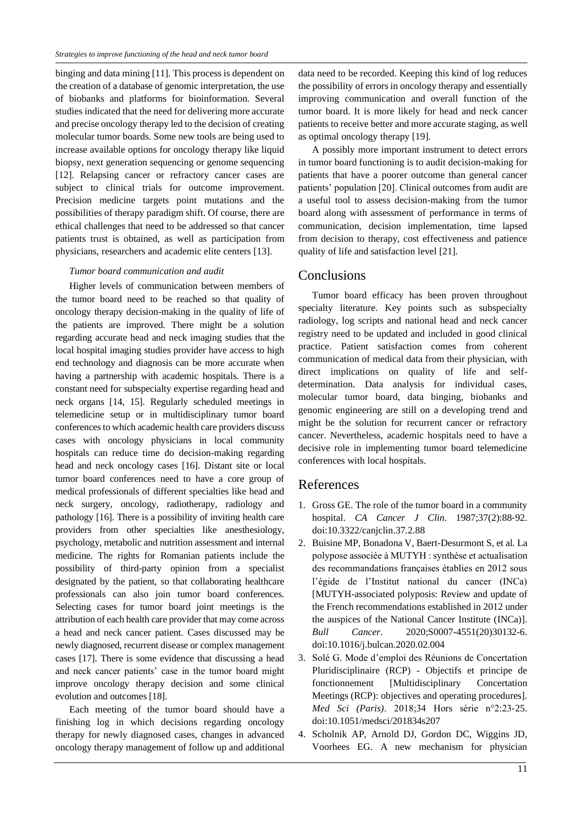binging and data mining [11]. This process is dependent on the creation of a database of genomic interpretation, the use of biobanks and platforms for bioinformation. Several studies indicated that the need for delivering more accurate and precise oncology therapy led to the decision of creating molecular tumor boards. Some new tools are being used to increase available options for oncology therapy like liquid biopsy, next generation sequencing or genome sequencing [12]. Relapsing cancer or refractory cancer cases are subject to clinical trials for outcome improvement. Precision medicine targets point mutations and the possibilities of therapy paradigm shift. Of course, there are ethical challenges that need to be addressed so that cancer patients trust is obtained, as well as participation from physicians, researchers and academic elite centers [13].

### *Tumor board communication and audit*

Higher levels of communication between members of the tumor board need to be reached so that quality of oncology therapy decision-making in the quality of life of the patients are improved. There might be a solution regarding accurate head and neck imaging studies that the local hospital imaging studies provider have access to high end technology and diagnosis can be more accurate when having a partnership with academic hospitals. There is a constant need for subspecialty expertise regarding head and neck organs [14, 15]. Regularly scheduled meetings in telemedicine setup or in multidisciplinary tumor board conferences to which academic health care providers discuss cases with oncology physicians in local community hospitals can reduce time do decision-making regarding head and neck oncology cases [16]. Distant site or local tumor board conferences need to have a core group of medical professionals of different specialties like head and neck surgery, oncology, radiotherapy, radiology and pathology [16]. There is a possibility of inviting health care providers from other specialties like anesthesiology, psychology, metabolic and nutrition assessment and internal medicine. The rights for Romanian patients include the possibility of third-party opinion from a specialist designated by the patient, so that collaborating healthcare professionals can also join tumor board conferences. Selecting cases for tumor board joint meetings is the attribution of each health care provider that may come across a head and neck cancer patient. Cases discussed may be newly diagnosed, recurrent disease or complex management cases [17]. There is some evidence that discussing a head and neck cancer patients' case in the tumor board might improve oncology therapy decision and some clinical evolution and outcomes [18].

Each meeting of the tumor board should have a finishing log in which decisions regarding oncology therapy for newly diagnosed cases, changes in advanced oncology therapy management of follow up and additional data need to be recorded. Keeping this kind of log reduces the possibility of errors in oncology therapy and essentially improving communication and overall function of the tumor board. It is more likely for head and neck cancer patients to receive better and more accurate staging, as well as optimal oncology therapy [19].

A possibly more important instrument to detect errors in tumor board functioning is to audit decision-making for patients that have a poorer outcome than general cancer patients' population [20]. Clinical outcomes from audit are a useful tool to assess decision-making from the tumor board along with assessment of performance in terms of communication, decision implementation, time lapsed from decision to therapy, cost effectiveness and patience quality of life and satisfaction level [21].

# Conclusions

Tumor board efficacy has been proven throughout specialty literature. Key points such as subspecialty radiology, log scripts and national head and neck cancer registry need to be updated and included in good clinical practice. Patient satisfaction comes from coherent communication of medical data from their physician, with direct implications on quality of life and selfdetermination. Data analysis for individual cases, molecular tumor board, data binging, biobanks and genomic engineering are still on a developing trend and might be the solution for recurrent cancer or refractory cancer. Nevertheless, academic hospitals need to have a decisive role in implementing tumor board telemedicine conferences with local hospitals.

# References

- 1. Gross GE. The role of the tumor board in a community hospital. *CA Cancer J Clin*. 1987;37(2):88‐92. doi:10.3322/canjclin.37.2.88
- 2. Buisine MP, Bonadona V, Baert-Desurmont S, et al. La polypose associée à MUTYH : synthèse et actualisation des recommandations françaises établies en 2012 sous l'égide de l'Institut national du cancer (INCa) [MUTYH-associated polyposis: Review and update of the French recommendations established in 2012 under the auspices of the National Cancer Institute (INCa)]. *Bull Cancer*. 2020;S0007-4551(20)30132-6. doi:10.1016/j.bulcan.2020.02.004
- 3. Solé G. Mode d'emploi des Réunions de Concertation Pluridisciplinaire (RCP) - Objectifs et principe de fonctionnement [Multidisciplinary Concertation Meetings (RCP): objectives and operating procedures]. *Med Sci (Paris)*. 2018;34 Hors série n°2:23‐25. doi:10.1051/medsci/201834s207
- 4. Scholnik AP, Arnold DJ, Gordon DC, Wiggins JD, Voorhees EG. A new mechanism for physician